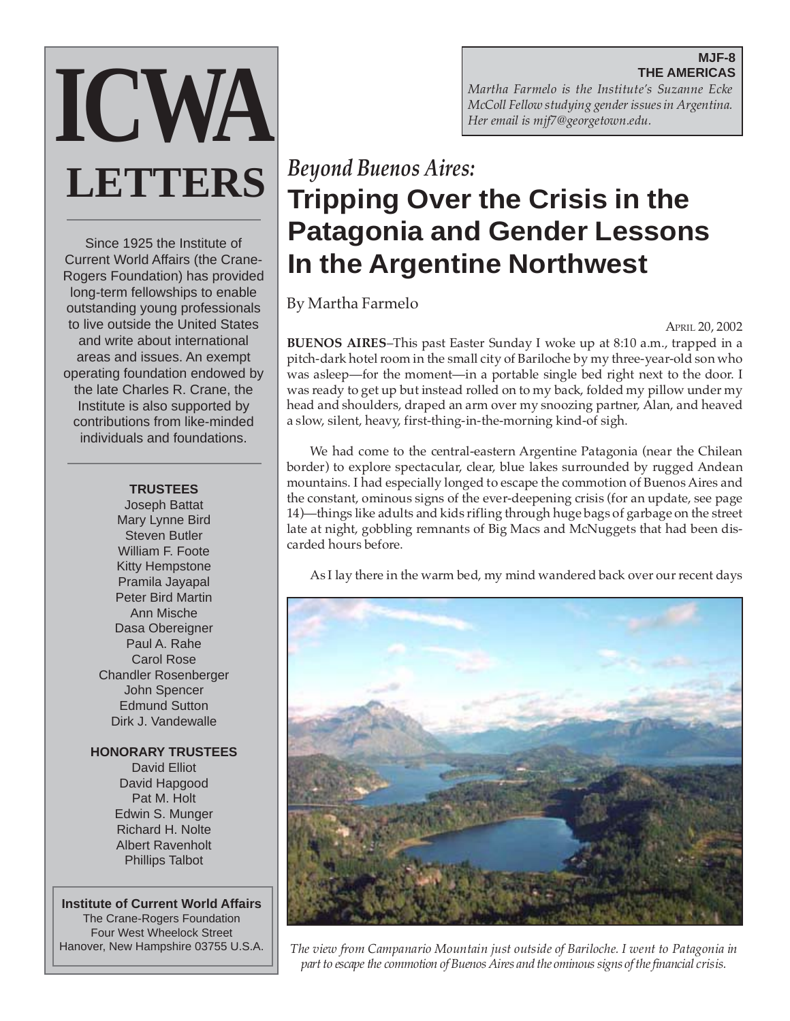# **MJF-8 THE AMERICAS**

**ICWA LETTERS**

Since 1925 the Institute of Current World Affairs (the Crane-Rogers Foundation) has provided long-term fellowships to enable outstanding young professionals to live outside the United States and write about international areas and issues. An exempt operating foundation endowed by the late Charles R. Crane, the Institute is also supported by contributions from like-minded individuals and foundations.

# **TRUSTEES**

Joseph Battat Mary Lynne Bird Steven Butler William F. Foote Kitty Hempstone Pramila Jayapal Peter Bird Martin Ann Mische Dasa Obereigner Paul A. Rahe Carol Rose Chandler Rosenberger John Spencer Edmund Sutton Dirk J. Vandewalle

# **HONORARY TRUSTEES**

David Elliot David Hapgood Pat M. Holt Edwin S. Munger Richard H. Nolte Albert Ravenholt Phillips Talbot

**Institute of Current World Affairs** The Crane-Rogers Foundation Four West Wheelock Street Hanover, New Hampshire 03755 U.S.A. *Martha Farmelo is the Institute's Suzanne Ecke McColl Fellow studying gender issues in Argentina. Her email is mjf7@georgetown.edu.*

# *Beyond Buenos Aires:*

# **Tripping Over the Crisis in the Patagonia and Gender Lessons In the Argentine Northwest**

By Martha Farmelo

APRIL 20, 2002

**BUENOS AIRES**–This past Easter Sunday I woke up at 8:10 a.m., trapped in a pitch-dark hotel room in the small city of Bariloche by my three-year-old son who was asleep—for the moment—in a portable single bed right next to the door. I was ready to get up but instead rolled on to my back, folded my pillow under my head and shoulders, draped an arm over my snoozing partner, Alan, and heaved a slow, silent, heavy, first-thing-in-the-morning kind-of sigh.

We had come to the central-eastern Argentine Patagonia (near the Chilean border) to explore spectacular, clear, blue lakes surrounded by rugged Andean mountains. I had especially longed to escape the commotion of Buenos Aires and the constant, ominous signs of the ever-deepening crisis (for an update, see page 14)—things like adults and kids rifling through huge bags of garbage on the street late at night, gobbling remnants of Big Macs and McNuggets that had been discarded hours before.

As I lay there in the warm bed, my mind wandered back over our recent days



*The view from Campanario Mountain just outside of Bariloche. I went to Patagonia in part to escape the commotion of Buenos Aires and the ominous signs of the financial crisis.*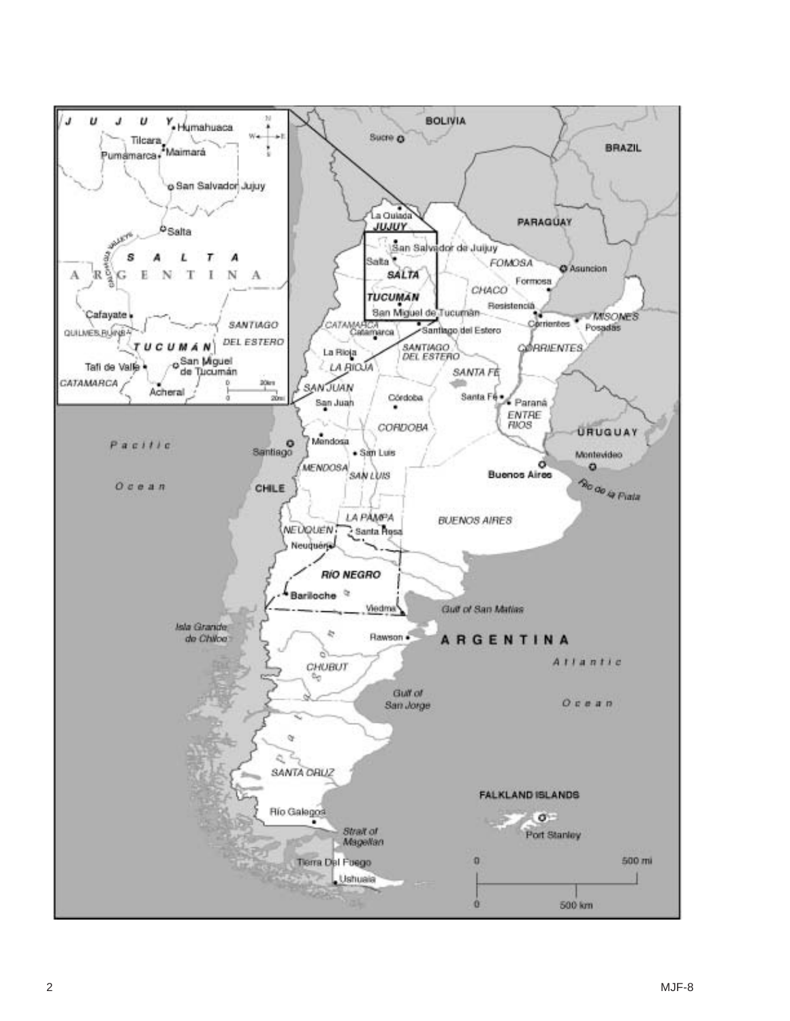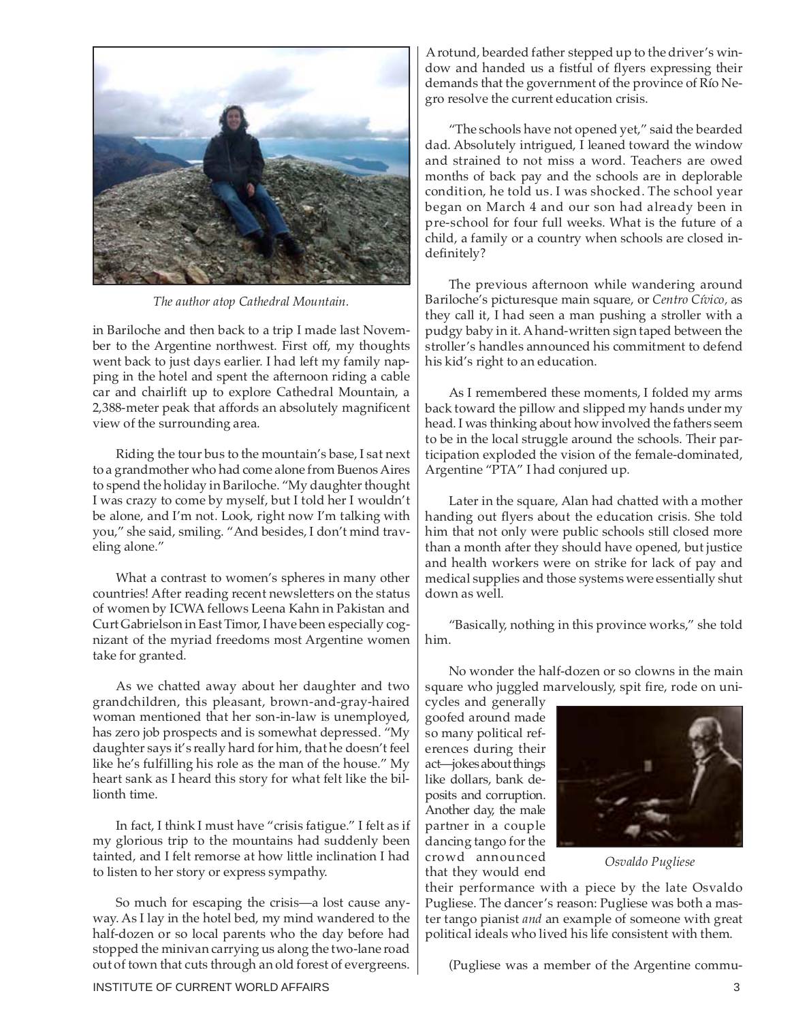

*The author atop Cathedral Mountain.*

in Bariloche and then back to a trip I made last November to the Argentine northwest. First off, my thoughts went back to just days earlier. I had left my family napping in the hotel and spent the afternoon riding a cable car and chairlift up to explore Cathedral Mountain, a 2,388-meter peak that affords an absolutely magnificent view of the surrounding area.

Riding the tour bus to the mountain's base, I sat next to a grandmother who had come alone from Buenos Aires to spend the holiday in Bariloche. "My daughter thought I was crazy to come by myself, but I told her I wouldn't be alone, and I'm not. Look, right now I'm talking with you," she said, smiling. "And besides, I don't mind traveling alone."

What a contrast to women's spheres in many other countries! After reading recent newsletters on the status of women by ICWA fellows Leena Kahn in Pakistan and Curt Gabrielson in East Timor, I have been especially cognizant of the myriad freedoms most Argentine women take for granted.

As we chatted away about her daughter and two grandchildren, this pleasant, brown-and-gray-haired woman mentioned that her son-in-law is unemployed, has zero job prospects and is somewhat depressed. "My daughter says it's really hard for him, that he doesn't feel like he's fulfilling his role as the man of the house." My heart sank as I heard this story for what felt like the billionth time.

In fact, I think I must have "crisis fatigue." I felt as if my glorious trip to the mountains had suddenly been tainted, and I felt remorse at how little inclination I had to listen to her story or express sympathy.

So much for escaping the crisis—a lost cause anyway. As I lay in the hotel bed, my mind wandered to the half-dozen or so local parents who the day before had stopped the minivan carrying us along the two-lane road out of town that cuts through an old forest of evergreens. A rotund, bearded father stepped up to the driver's window and handed us a fistful of flyers expressing their demands that the government of the province of Río Negro resolve the current education crisis.

"The schools have not opened yet," said the bearded dad. Absolutely intrigued, I leaned toward the window and strained to not miss a word. Teachers are owed months of back pay and the schools are in deplorable condition, he told us. I was shocked. The school year began on March 4 and our son had already been in pre-school for four full weeks. What is the future of a child, a family or a country when schools are closed indefinitely?

The previous afternoon while wandering around Bariloche's picturesque main square, or *Centro Cívico,* as they call it, I had seen a man pushing a stroller with a pudgy baby in it. A hand-written sign taped between the stroller's handles announced his commitment to defend his kid's right to an education.

As I remembered these moments, I folded my arms back toward the pillow and slipped my hands under my head. I was thinking about how involved the fathers seem to be in the local struggle around the schools. Their participation exploded the vision of the female-dominated, Argentine "PTA" I had conjured up.

Later in the square, Alan had chatted with a mother handing out flyers about the education crisis. She told him that not only were public schools still closed more than a month after they should have opened, but justice and health workers were on strike for lack of pay and medical supplies and those systems were essentially shut down as well.

"Basically, nothing in this province works," she told him.

No wonder the half-dozen or so clowns in the main square who juggled marvelously, spit fire, rode on uni-

cycles and generally goofed around made so many political references during their act—jokes about things like dollars, bank deposits and corruption. Another day, the male partner in a couple dancing tango for the crowd announced that they would end



*Osvaldo Pugliese*

their performance with a piece by the late Osvaldo Pugliese. The dancer's reason: Pugliese was both a master tango pianist *and* an example of someone with great political ideals who lived his life consistent with them.

(Pugliese was a member of the Argentine commu-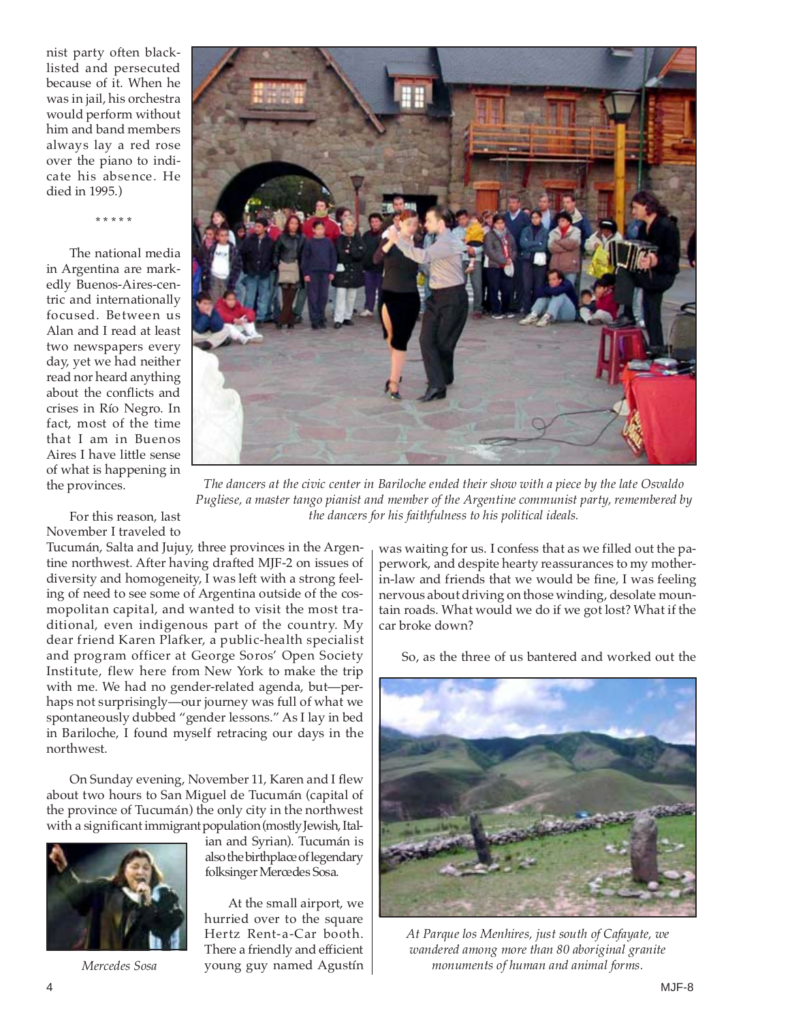nist party often blacklisted and persecuted because of it. When he was in jail, his orchestra would perform without him and band members always lay a red rose over the piano to indicate his absence. He died in 1995.)

\* \* \* \* \*

The national media in Argentina are markedly Buenos-Aires-centric and internationally focused. Between us Alan and I read at least two newspapers every day, yet we had neither read nor heard anything about the conflicts and crises in Río Negro. In fact, most of the time that I am in Buenos Aires I have little sense of what is happening in the provinces.

For this reason, last November I traveled to

Tucumán, Salta and Jujuy, three provinces in the Argentine northwest. After having drafted MJF-2 on issues of diversity and homogeneity, I was left with a strong feeling of need to see some of Argentina outside of the cosmopolitan capital, and wanted to visit the most traditional, even indigenous part of the country. My dear friend Karen Plafker, a public-health specialist and program officer at George Soros' Open Society Institute, flew here from New York to make the trip with me. We had no gender-related agenda, but—perhaps not surprisingly—our journey was full of what we spontaneously dubbed "gender lessons." As I lay in bed in Bariloche, I found myself retracing our days in the northwest.

On Sunday evening, November 11, Karen and I flew about two hours to San Miguel de Tucumán (capital of the province of Tucumán) the only city in the northwest with a significant immigrant population (mostly Jewish, Ital-

> ian and Syrian). Tucumán is also the birthplace of legendary folksinger Mercedes Sosa.

At the small airport, we hurried over to the square Hertz Rent-a-Car booth. There a friendly and efficient young guy named Agustín



 *Mercedes Sosa*



*The dancers at the civic center in Bariloche ended their show with a piece by the late Osvaldo Pugliese, a master tango pianist and member of the Argentine communist party, remembered by the dancers for his faithfulness to his political ideals.*

was waiting for us. I confess that as we filled out the paperwork, and despite hearty reassurances to my motherin-law and friends that we would be fine, I was feeling nervous about driving on those winding, desolate mountain roads. What would we do if we got lost? What if the car broke down?

So, as the three of us bantered and worked out the



*At Parque los Menhires, just south of Cafayate, we wandered among more than 80 aboriginal granite monuments of human and animal forms.*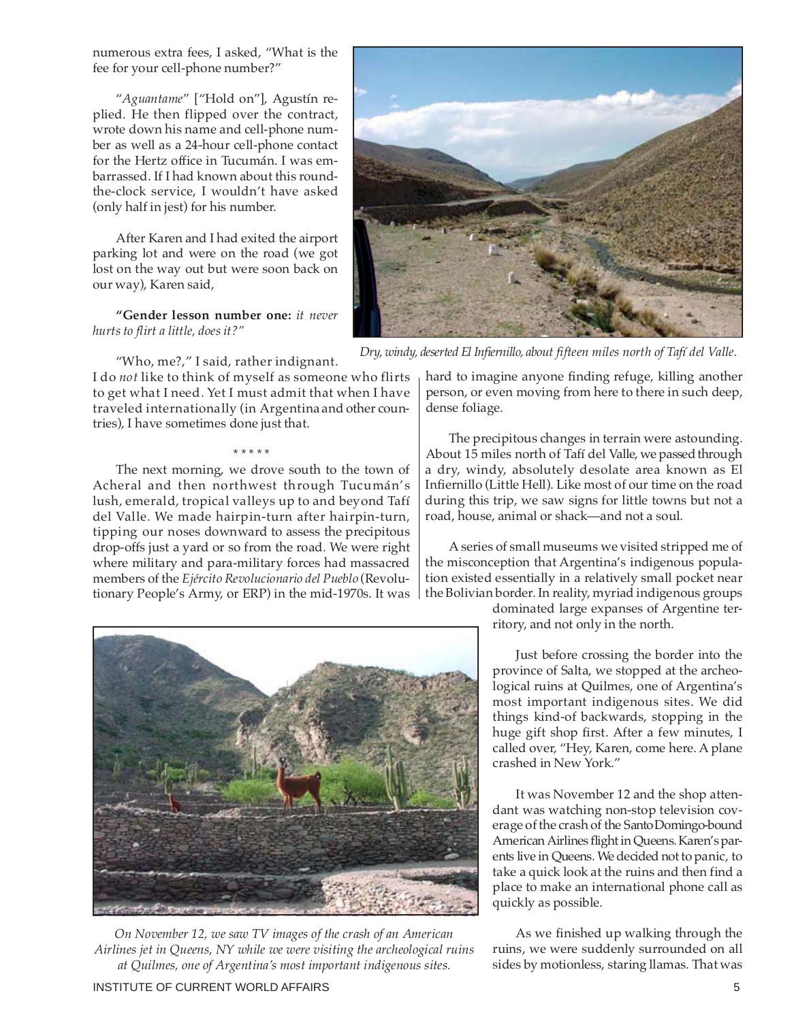numerous extra fees, I asked, "What is the fee for your cell-phone number?"

"*Aguantame*" ["Hold on"], Agustín replied. He then flipped over the contract, wrote down his name and cell-phone number as well as a 24-hour cell-phone contact for the Hertz office in Tucumán. I was embarrassed. If I had known about this roundthe-clock service, I wouldn't have asked (only half in jest) for his number.

After Karen and I had exited the airport parking lot and were on the road (we got lost on the way out but were soon back on our way), Karen said,

**"Gender lesson number one:** *it never hurts to flirt a little, does it?"*

"Who, me?," I said, rather indignant.

I do *not* like to think of myself as someone who flirts to get what I need. Yet I must admit that when I have traveled internationally (in Argentina and other countries), I have sometimes done just that.

\* \* \* \* \*

The next morning, we drove south to the town of Acheral and then northwest through Tucumán's lush, emerald, tropical valleys up to and beyond Tafí del Valle. We made hairpin-turn after hairpin-turn, tipping our noses downward to assess the precipitous drop-offs just a yard or so from the road. We were right where military and para-military forces had massacred members of the *Ejército Revolucionario del Pueblo* (Revolutionary People's Army, or ERP) in the mid-1970s. It was



*Dry, windy, deserted El Infiernillo, about fifteen miles north of Tafí del Valle.*

hard to imagine anyone finding refuge, killing another person, or even moving from here to there in such deep, dense foliage.

The precipitous changes in terrain were astounding. About 15 miles north of Tafí del Valle, we passed through a dry, windy, absolutely desolate area known as El Infiernillo (Little Hell). Like most of our time on the road during this trip, we saw signs for little towns but not a road, house, animal or shack—and not a soul.

A series of small museums we visited stripped me of the misconception that Argentina's indigenous population existed essentially in a relatively small pocket near the Bolivian border. In reality, myriad indigenous groups

> dominated large expanses of Argentine territory, and not only in the north.

Just before crossing the border into the province of Salta, we stopped at the archeological ruins at Quilmes, one of Argentina's most important indigenous sites. We did things kind-of backwards, stopping in the huge gift shop first. After a few minutes, I called over, "Hey, Karen, come here. A plane crashed in New York."

It was November 12 and the shop attendant was watching non-stop television coverage of the crash of the Santo Domingo-bound American Airlines flight in Queens. Karen's parents live in Queens. We decided not to panic, to take a quick look at the ruins and then find a place to make an international phone call as quickly as possible.

As we finished up walking through the ruins, we were suddenly surrounded on all sides by motionless, staring llamas. That was



*On November 12, we saw TV images of the crash of an American Airlines jet in Queens, NY while we were visiting the archeological ruins at Quilmes, one of Argentina's most important indigenous sites.*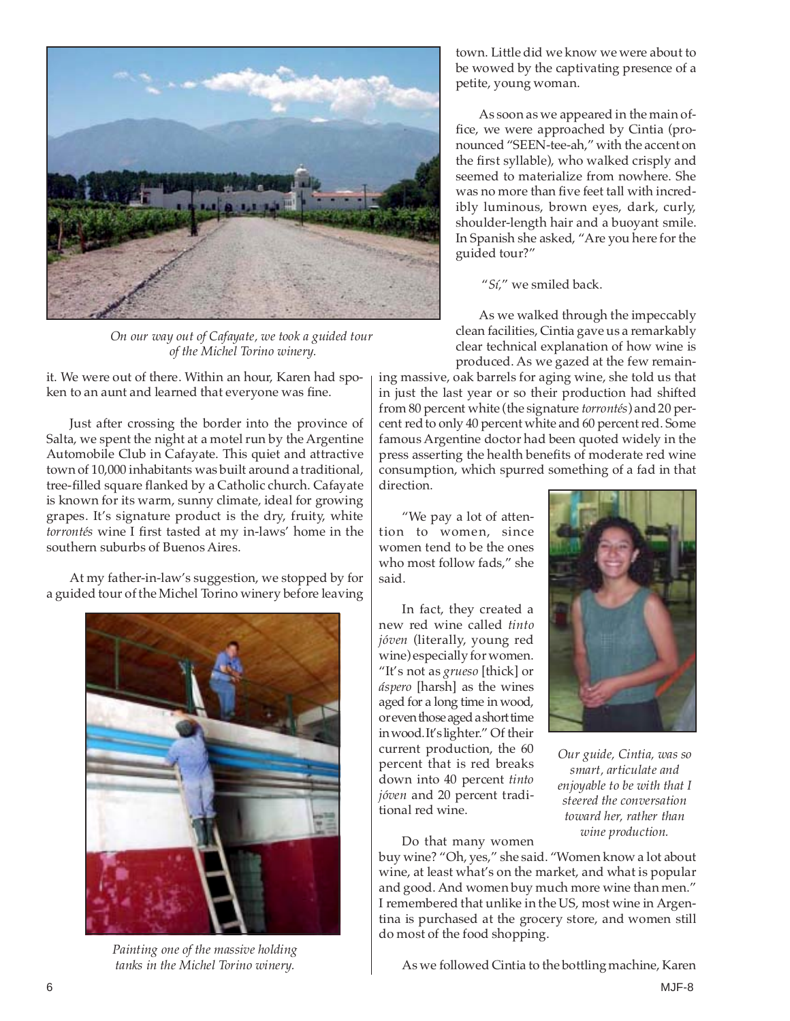

*On our way out of Cafayate, we took a guided tour of the Michel Torino winery.*

it. We were out of there. Within an hour, Karen had spoken to an aunt and learned that everyone was fine.

Just after crossing the border into the province of Salta, we spent the night at a motel run by the Argentine Automobile Club in Cafayate. This quiet and attractive town of 10,000 inhabitants was built around a traditional, tree-filled square flanked by a Catholic church. Cafayate is known for its warm, sunny climate, ideal for growing grapes. It's signature product is the dry, fruity, white *torrontés* wine I first tasted at my in-laws' home in the southern suburbs of Buenos Aires.

At my father-in-law's suggestion, we stopped by for a guided tour of the Michel Torino winery before leaving



*Painting one of the massive holding tanks in the Michel Torino winery.*

town. Little did we know we were about to be wowed by the captivating presence of a petite, young woman.

As soon as we appeared in the main office, we were approached by Cintia (pronounced "SEEN-tee-ah," with the accent on the first syllable), who walked crisply and seemed to materialize from nowhere. She was no more than five feet tall with incredibly luminous, brown eyes, dark, curly, shoulder-length hair and a buoyant smile. In Spanish she asked, "Are you here for the guided tour?"

"*Sí,*" we smiled back.

As we walked through the impeccably clean facilities, Cintia gave us a remarkably clear technical explanation of how wine is produced. As we gazed at the few remain-

ing massive, oak barrels for aging wine, she told us that in just the last year or so their production had shifted from 80 percent white (the signature *torrontés*) and 20 percent red to only 40 percent white and 60 percent red. Some famous Argentine doctor had been quoted widely in the press asserting the health benefits of moderate red wine consumption, which spurred something of a fad in that direction.

"We pay a lot of attention to women, since women tend to be the ones who most follow fads," she said.

In fact, they created a new red wine called *tinto jóven* (literally, young red wine) especially for women. "It's not as *grueso* [thick] or *áspero* [harsh] as the wines aged for a long time in wood, or even those aged a short time in wood. It's lighter." Of their current production, the 60 percent that is red breaks down into 40 percent *tinto jóven* and 20 percent traditional red wine.



*Our guide, Cintia, was so smart, articulate and enjoyable to be with that I steered the conversation toward her, rather than wine production.*

Do that many women

buy wine? "Oh, yes," she said. "Women know a lot about wine, at least what's on the market, and what is popular and good. And women buy much more wine than men." I remembered that unlike in the US, most wine in Argentina is purchased at the grocery store, and women still do most of the food shopping.

As we followed Cintia to the bottling machine, Karen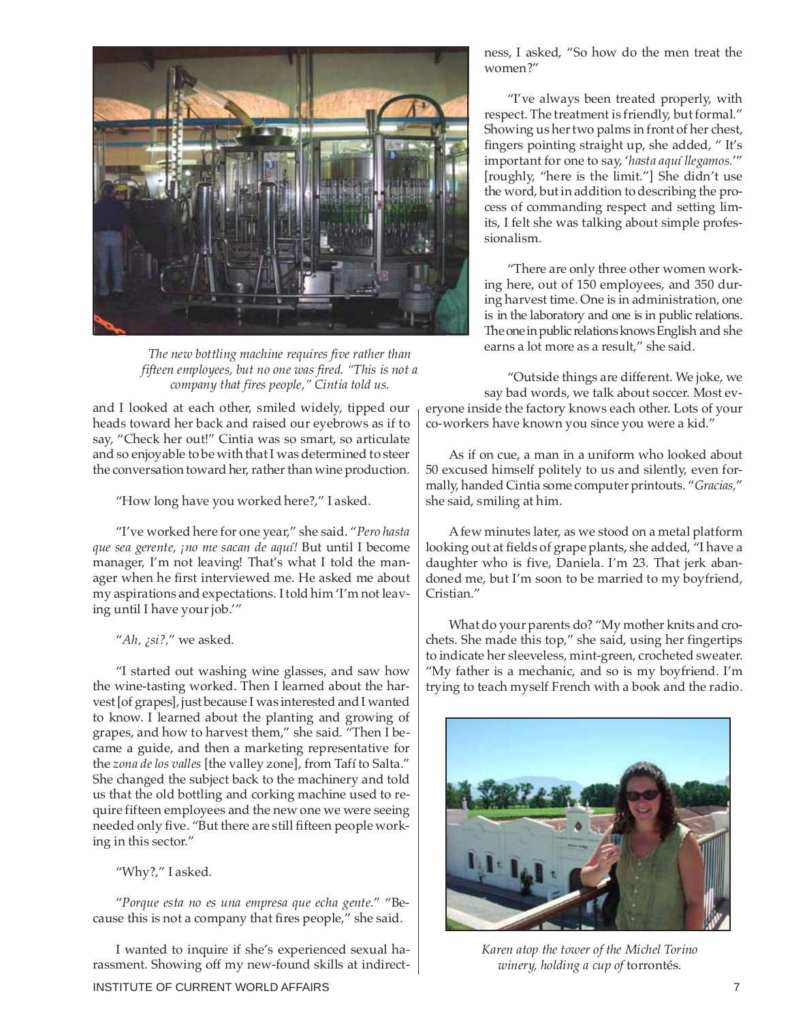

*The new bottling machine requires five rather than fifteen employees, but no one was fired. "This is not a company that fires people," Cintia told us.*

and I looked at each other, smiled widely, tipped our heads toward her back and raised our eyebrows as if to say, "Check her out!" Cintia was so smart, so articulate and so enjoyable to be with that I was determined to steer the conversation toward her, rather than wine production.

"How long have you worked here?," I asked.

"I've worked here for one year," she said. "*Pero hasta que sea gerente, ¡no me sacan de aquí!* But until I become manager, I'm not leaving! That's what I told the manager when he first interviewed me. He asked me about my aspirations and expectations. I told him 'I'm not leaving until I have your job.'"

"*Ah, ¿si?,*" we asked.

"I started out washing wine glasses, and saw how the wine-tasting worked. Then I learned about the harvest [of grapes], just because I was interested and I wanted to know. I learned about the planting and growing of grapes, and how to harvest them," she said. "Then I became a guide, and then a marketing representative for the *zona de los valles* [the valley zone], from Tafí to Salta." She changed the subject back to the machinery and told us that the old bottling and corking machine used to require fifteen employees and the new one we were seeing needed only five. "But there are still fifteen people working in this sector."

"Why?," I asked.

"*Porque esta no es una empresa que echa gente.*" "Because this is not a company that fires people," she said.

I wanted to inquire if she's experienced sexual harassment. Showing off my new-found skills at indirectness, I asked, "So how do the men treat the women?"

"I've always been treated properly, with respect. The treatment is friendly, but formal." Showing us her two palms in front of her chest, fingers pointing straight up, she added, " It's important for one to say, '*hasta aquí llegamos.*'" [roughly, "here is the limit."] She didn't use the word, but in addition to describing the process of commanding respect and setting limits, I felt she was talking about simple professionalism.

"There are only three other women working here, out of 150 employees, and 350 during harvest time. One is in administration, one is in the laboratory and one is in public relations. The one in public relations knows English and she earns a lot more as a result," she said.

"Outside things are different. We joke, we say bad words, we talk about soccer. Most everyone inside the factory knows each other. Lots of your co-workers have known you since you were a kid."

As if on cue, a man in a uniform who looked about 50 excused himself politely to us and silently, even formally, handed Cintia some computer printouts. "*Gracias,*" she said, smiling at him.

A few minutes later, as we stood on a metal platform looking out at fields of grape plants, she added, "I have a daughter who is five, Daniela. I'm 23. That jerk abandoned me, but I'm soon to be married to my boyfriend, Cristian."

What do your parents do? "My mother knits and crochets. She made this top," she said, using her fingertips to indicate her sleeveless, mint-green, crocheted sweater. "My father is a mechanic, and so is my boyfriend. I'm trying to teach myself French with a book and the radio.



*Karen atop the tower of the Michel Torino winery, holding a cup of* torrontés*.*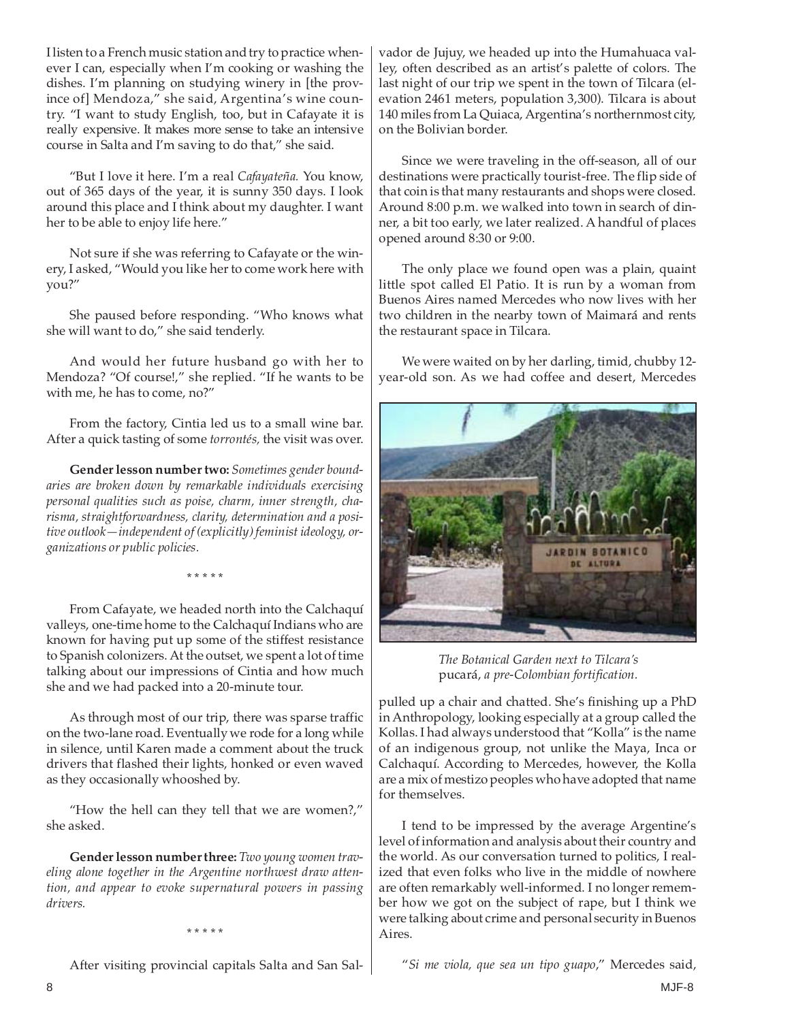I listen to a French music station and try to practice whenever I can, especially when I'm cooking or washing the dishes. I'm planning on studying winery in [the province of] Mendoza," she said, Argentina's wine country. "I want to study English, too, but in Cafayate it is really expensive. It makes more sense to take an intensive course in Salta and I'm saving to do that," she said.

"But I love it here. I'm a real *Cafayateña.* You know, out of 365 days of the year, it is sunny 350 days. I look around this place and I think about my daughter. I want her to be able to enjoy life here."

Not sure if she was referring to Cafayate or the winery, I asked, "Would you like her to come work here with you?"

She paused before responding. "Who knows what she will want to do," she said tenderly.

And would her future husband go with her to Mendoza? "Of course!," she replied. "If he wants to be with me, he has to come, no?"

From the factory, Cintia led us to a small wine bar. After a quick tasting of some *torrontés,* the visit was over.

**Gender lesson number two:** *Sometimes gender boundaries are broken down by remarkable individuals exercising personal qualities such as poise, charm, inner strength, charisma, straightforwardness, clarity, determination and a positive outlook—independent of (explicitly) feminist ideology, organizations or public policies.*

\* \* \* \* \*

From Cafayate, we headed north into the Calchaquí valleys, one-time home to the Calchaquí Indians who are known for having put up some of the stiffest resistance to Spanish colonizers. At the outset, we spent a lot of time talking about our impressions of Cintia and how much she and we had packed into a 20-minute tour.

As through most of our trip, there was sparse traffic on the two-lane road. Eventually we rode for a long while in silence, until Karen made a comment about the truck drivers that flashed their lights, honked or even waved as they occasionally whooshed by.

"How the hell can they tell that we are women?," she asked.

**Gender lesson number three:** *Two young women traveling alone together in the Argentine northwest draw attention, and appear to evoke supernatural powers in passing drivers.*

\* \* \* \* \*

After visiting provincial capitals Salta and San Sal-

vador de Jujuy, we headed up into the Humahuaca valley, often described as an artist's palette of colors. The last night of our trip we spent in the town of Tilcara (elevation 2461 meters, population 3,300). Tilcara is about 140 miles from La Quiaca, Argentina's northernmost city, on the Bolivian border.

Since we were traveling in the off-season, all of our destinations were practically tourist-free. The flip side of that coin is that many restaurants and shops were closed. Around 8:00 p.m. we walked into town in search of dinner, a bit too early, we later realized. A handful of places opened around 8:30 or 9:00.

The only place we found open was a plain, quaint little spot called El Patio*.* It is run by a woman from Buenos Aires named Mercedes who now lives with her two children in the nearby town of Maimará and rents the restaurant space in Tilcara.

We were waited on by her darling, timid, chubby 12 year-old son. As we had coffee and desert, Mercedes



*The Botanical Garden next to Tilcara's* pucará, *a pre-Colombian fortification.*

pulled up a chair and chatted. She's finishing up a PhD in Anthropology, looking especially at a group called the Kollas. I had always understood that "Kolla" is the name of an indigenous group, not unlike the Maya, Inca or Calchaquí. According to Mercedes, however, the Kolla are a mix of mestizo peoples who have adopted that name for themselves.

I tend to be impressed by the average Argentine's level of information and analysis about their country and the world. As our conversation turned to politics, I realized that even folks who live in the middle of nowhere are often remarkably well-informed. I no longer remember how we got on the subject of rape, but I think we were talking about crime and personal security in Buenos Aires.

"*Si me viola, que sea un tipo guapo*," Mercedes said,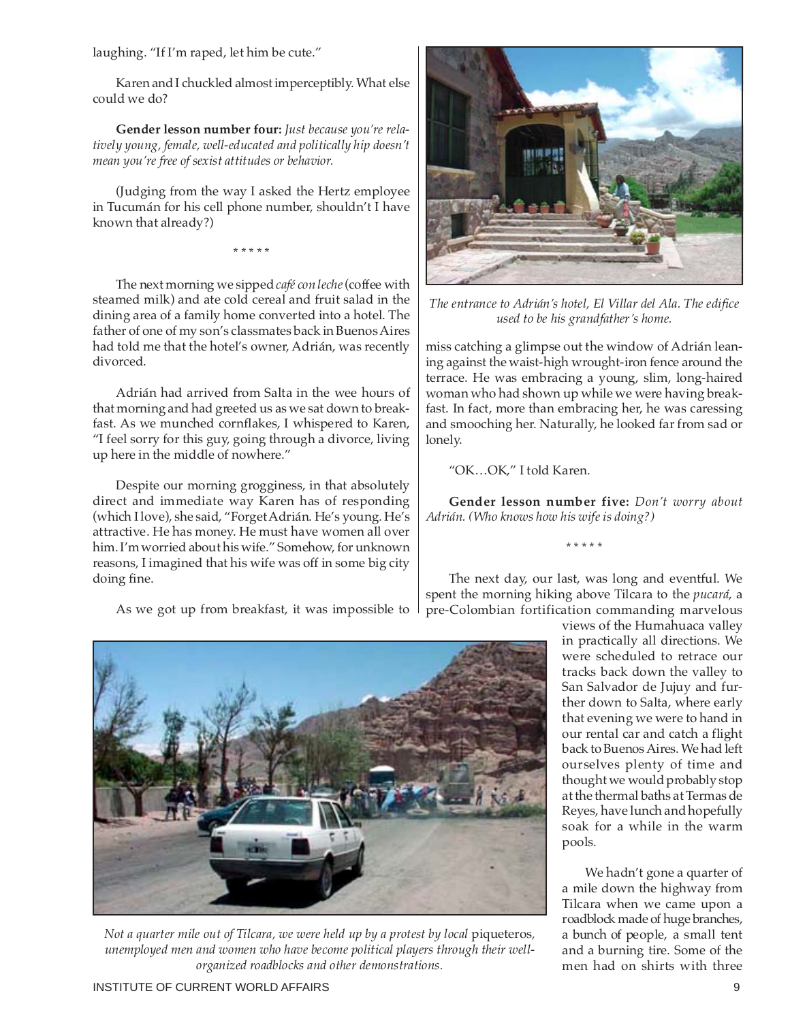laughing. "If I'm raped, let him be cute."

Karen and I chuckled almost imperceptibly. What else could we do?

**Gender lesson number four:** *Just because you're relatively young, female, well-educated and politically hip doesn't mean you're free of sexist attitudes or behavior.*

(Judging from the way I asked the Hertz employee in Tucumán for his cell phone number, shouldn't I have known that already?)

\* \* \* \* \*

The next morning we sipped *café con leche* (coffee with steamed milk) and ate cold cereal and fruit salad in the dining area of a family home converted into a hotel. The father of one of my son's classmates back in Buenos Aires had told me that the hotel's owner, Adrián, was recently divorced.

Adrián had arrived from Salta in the wee hours of that morning and had greeted us as we sat down to breakfast. As we munched cornflakes, I whispered to Karen, "I feel sorry for this guy, going through a divorce, living up here in the middle of nowhere."

Despite our morning grogginess, in that absolutely direct and immediate way Karen has of responding (which I love), she said, "Forget Adrián. He's young. He's attractive. He has money. He must have women all over him. I'm worried about his wife." Somehow, for unknown reasons, I imagined that his wife was off in some big city doing fine.

As we got up from breakfast, it was impossible to



*The entrance to Adrián's hotel, El Villar del Ala. The edifice used to be his grandfather's home.*

miss catching a glimpse out the window of Adrián leaning against the waist-high wrought-iron fence around the terrace. He was embracing a young, slim, long-haired woman who had shown up while we were having breakfast. In fact, more than embracing her, he was caressing and smooching her. Naturally, he looked far from sad or lonely.

"OK…OK," I told Karen.

**Gender lesson number five:** *Don't worry about Adrián. (Who knows how his wife is doing?)*

\* \* \* \* \*

The next day, our last, was long and eventful. We spent the morning hiking above Tilcara to the *pucará*, a pre-Colombian fortification commanding marvelous



*Not a quarter mile out of Tilcara, we were held up by a protest by local* piqueteros*, unemployed men and women who have become political players through their wellorganized roadblocks and other demonstrations.*

views of the Humahuaca valley in practically all directions. We were scheduled to retrace our tracks back down the valley to San Salvador de Jujuy and further down to Salta, where early that evening we were to hand in our rental car and catch a flight back to Buenos Aires. We had left ourselves plenty of time and thought we would probably stop at the thermal baths at Termas de Reyes, have lunch and hopefully soak for a while in the warm pools.

We hadn't gone a quarter of a mile down the highway from Tilcara when we came upon a roadblock made of huge branches, a bunch of people, a small tent and a burning tire. Some of the men had on shirts with three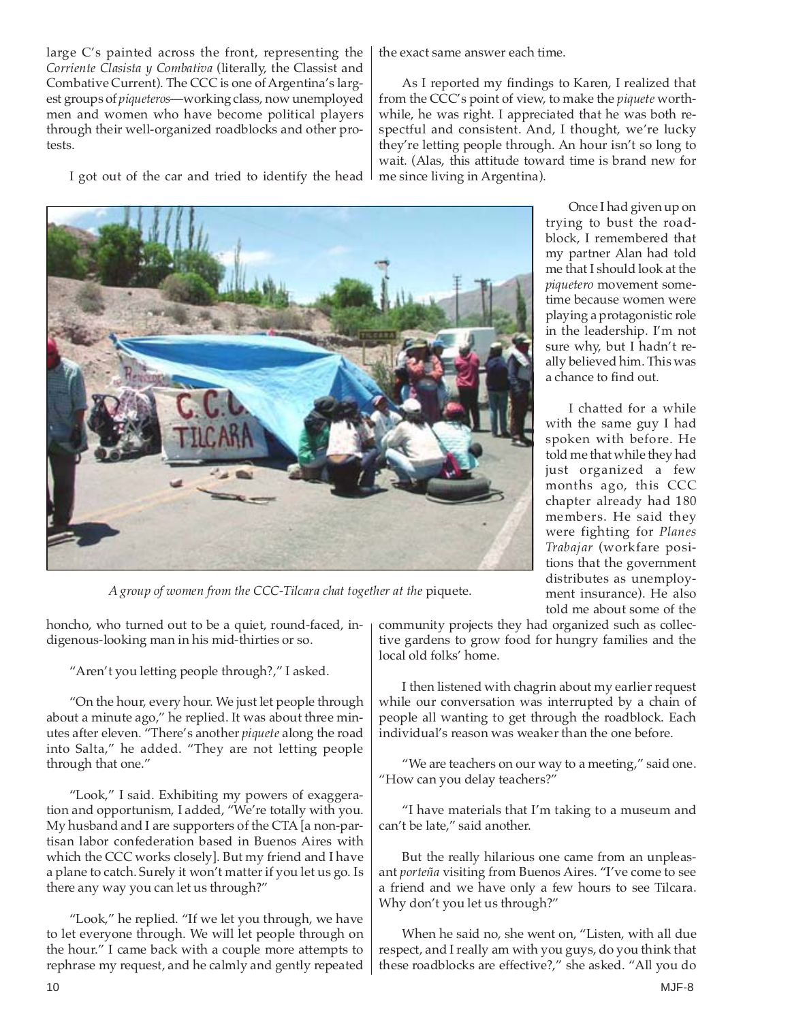large C's painted across the front, representing the *Corriente Clasista y Combativa* (literally, the Classist and Combative Current). The CCC is one of Argentina's largest groups of *piqueteros*—working class, now unemployed men and women who have become political players through their well-organized roadblocks and other protests.

I got out of the car and tried to identify the head I

the exact same answer each time.

As I reported my findings to Karen, I realized that from the CCC's point of view, to make the *piquete* worthwhile, he was right. I appreciated that he was both respectful and consistent. And, I thought, we're lucky they're letting people through. An hour isn't so long to wait. (Alas, this attitude toward time is brand new for me since living in Argentina).



*A group of women from the CCC-Tilcara chat together at the* piquete.

honcho, who turned out to be a quiet, round-faced, indigenous-looking man in his mid-thirties or so.

"Aren't you letting people through?," I asked.

"On the hour, every hour. We just let people through about a minute ago," he replied. It was about three minutes after eleven. "There's another *piquete* along the road into Salta," he added. "They are not letting people through that one."

"Look," I said. Exhibiting my powers of exaggeration and opportunism, I added, "We're totally with you. My husband and I are supporters of the CTA [a non-partisan labor confederation based in Buenos Aires with which the CCC works closely]. But my friend and I have a plane to catch. Surely it won't matter if you let us go. Is there any way you can let us through?"

"Look," he replied. "If we let you through, we have to let everyone through. We will let people through on the hour." I came back with a couple more attempts to rephrase my request, and he calmly and gently repeated

Once I had given up on trying to bust the roadblock, I remembered that my partner Alan had told me that I should look at the *piquetero* movement sometime because women were playing a protagonistic role in the leadership. I'm not sure why, but I hadn't really believed him. This was a chance to find out.

I chatted for a while with the same guy I had spoken with before. He told me that while they had just organized a few months ago, this CCC chapter already had 180 members. He said they were fighting for *Planes Trabajar* (workfare positions that the government distributes as unemployment insurance). He also told me about some of the

community projects they had organized such as collective gardens to grow food for hungry families and the local old folks' home.

I then listened with chagrin about my earlier request while our conversation was interrupted by a chain of people all wanting to get through the roadblock. Each individual's reason was weaker than the one before.

"We are teachers on our way to a meeting," said one. "How can you delay teachers?"

"I have materials that I'm taking to a museum and can't be late," said another.

But the really hilarious one came from an unpleasant *porteña* visiting from Buenos Aires. "I've come to see a friend and we have only a few hours to see Tilcara. Why don't you let us through?"

When he said no, she went on, "Listen, with all due respect, and I really am with you guys, do you think that these roadblocks are effective?," she asked. "All you do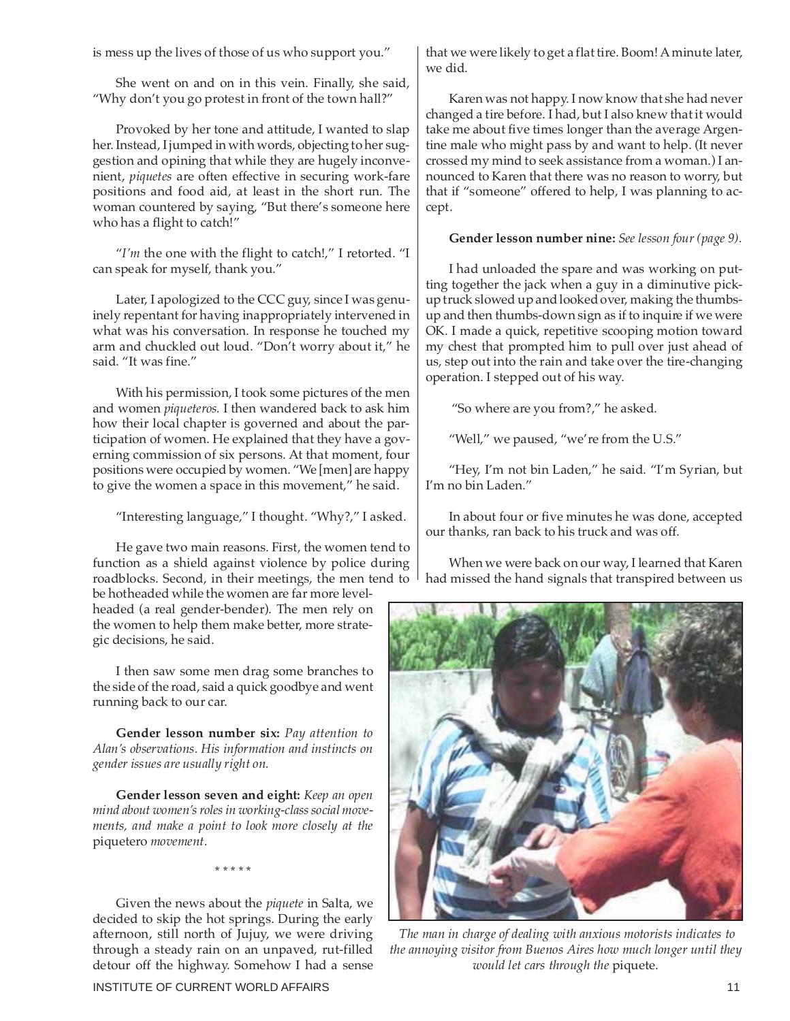is mess up the lives of those of us who support you."

She went on and on in this vein. Finally, she said, "Why don't you go protest in front of the town hall?"

Provoked by her tone and attitude, I wanted to slap her. Instead, I jumped in with words, objecting to her suggestion and opining that while they are hugely inconvenient, *piquetes* are often effective in securing work-fare positions and food aid, at least in the short run. The woman countered by saying, "But there's someone here who has a flight to catch!"

"I'm the one with the flight to catch!," I retorted. "I can speak for myself, thank you."

Later, I apologized to the CCC guy, since I was genuinely repentant for having inappropriately intervened in what was his conversation. In response he touched my arm and chuckled out loud. "Don't worry about it," he said. "It was fine."

With his permission, I took some pictures of the men and women *piqueteros.* I then wandered back to ask him how their local chapter is governed and about the participation of women. He explained that they have a governing commission of six persons. At that moment, four positions were occupied by women. "We [men] are happy to give the women a space in this movement," he said.

"Interesting language," I thought. "Why?," I asked.

He gave two main reasons. First, the women tend to function as a shield against violence by police during roadblocks. Second, in their meetings, the men tend to

be hotheaded while the women are far more levelheaded (a real gender-bender). The men rely on the women to help them make better, more strategic decisions, he said.

I then saw some men drag some branches to the side of the road, said a quick goodbye and went running back to our car.

**Gender lesson number six:** *Pay attention to Alan's observations. His information and instincts on gender issues are usually right on.*

**Gender lesson seven and eight:** *Keep an open mind about women's roles in working-class social movements, and make a point to look more closely at the* piquetero *movement.*

\* \* \* \* \*

Given the news about the *piquete* in Salta, we decided to skip the hot springs. During the early afternoon, still north of Jujuy, we were driving through a steady rain on an unpaved, rut-filled detour off the highway. Somehow I had a sense

that we were likely to get a flat tire. Boom! A minute later, we did.

Karen was not happy. I now know that she had never changed a tire before. I had, but I also knew that it would take me about five times longer than the average Argentine male who might pass by and want to help. (It never crossed my mind to seek assistance from a woman.) I announced to Karen that there was no reason to worry, but that if "someone" offered to help, I was planning to accept.

### **Gender lesson number nine:** *See lesson four (page 9).*

I had unloaded the spare and was working on putting together the jack when a guy in a diminutive pickup truck slowed up and looked over, making the thumbsup and then thumbs-down sign as if to inquire if we were OK. I made a quick, repetitive scooping motion toward my chest that prompted him to pull over just ahead of us, step out into the rain and take over the tire-changing operation. I stepped out of his way.

"So where are you from?," he asked.

"Well," we paused, "we're from the U.S."

"Hey, I'm not bin Laden," he said. "I'm Syrian, but I'm no bin Laden."

In about four or five minutes he was done, accepted our thanks, ran back to his truck and was off.

When we were back on our way, I learned that Karen had missed the hand signals that transpired between us



 *The man in charge of dealing with anxious motorists indicates to the annoying visitor from Buenos Aires how much longer until they would let cars through the* piquete.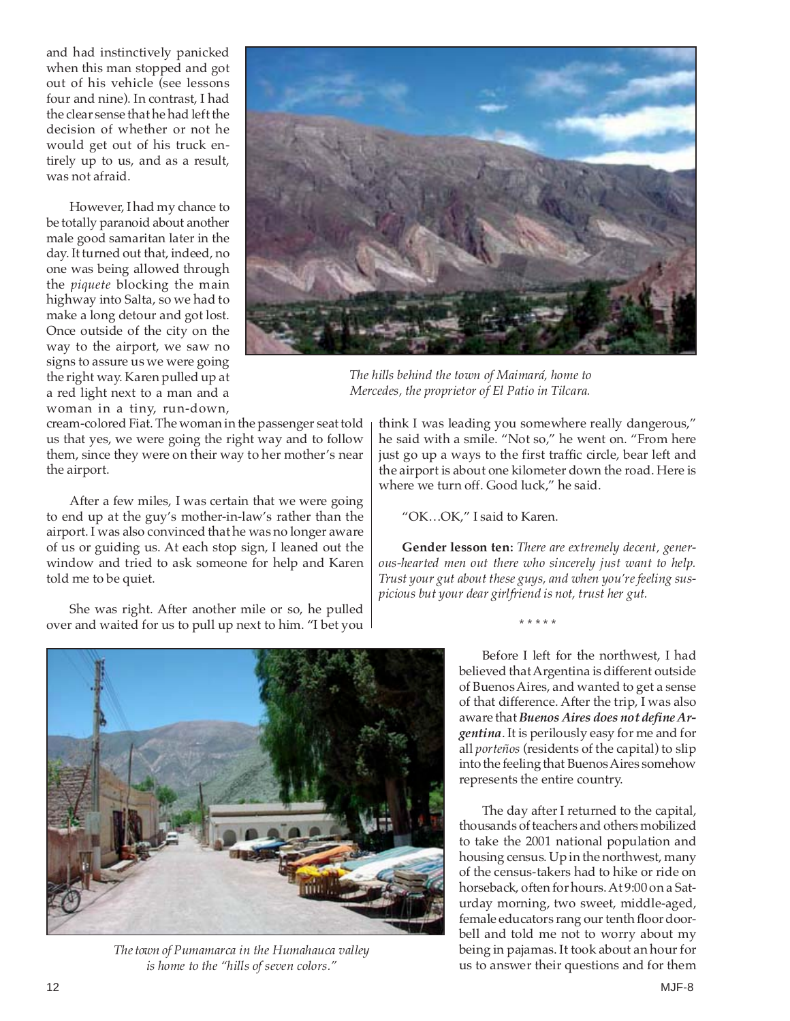and had instinctively panicked when this man stopped and got out of his vehicle (see lessons four and nine). In contrast, I had the clear sense that he had left the decision of whether or not he would get out of his truck entirely up to us, and as a result, was not afraid.

However, I had my chance to be totally paranoid about another male good samaritan later in the day. It turned out that, indeed, no one was being allowed through the *piquete* blocking the main highway into Salta, so we had to make a long detour and got lost. Once outside of the city on the way to the airport, we saw no signs to assure us we were going the right way. Karen pulled up at a red light next to a man and a woman in a tiny, run-down,

cream-colored Fiat. The woman in the passenger seat told us that yes, we were going the right way and to follow them, since they were on their way to her mother's near the airport.

After a few miles, I was certain that we were going to end up at the guy's mother-in-law's rather than the airport. I was also convinced that he was no longer aware of us or guiding us. At each stop sign, I leaned out the window and tried to ask someone for help and Karen told me to be quiet.

She was right. After another mile or so, he pulled over and waited for us to pull up next to him. "I bet you



*The town of Pumamarca in the Humahauca valley is home to the "hills of seven colors."*



*The hills behind the town of Maimará, home to Mercedes, the proprietor of El Patio in Tilcara.*

think I was leading you somewhere really dangerous," he said with a smile. "Not so," he went on. "From here just go up a ways to the first traffic circle, bear left and the airport is about one kilometer down the road. Here is where we turn off. Good luck," he said.

"OK…OK," I said to Karen.

**Gender lesson ten:** *There are extremely decent, generous-hearted men out there who sincerely just want to help. Trust your gut about these guys, and when you're feeling suspicious but your dear girlfriend is not, trust her gut.*

\* \* \* \* \*

Before I left for the northwest, I had believed that Argentina is different outside of Buenos Aires, and wanted to get a sense of that difference. After the trip, I was also aware that *Buenos Aires does not define Argentina*. It is perilously easy for me and for all *porteños* (residents of the capital) to slip into the feeling that Buenos Aires somehow represents the entire country.

The day after I returned to the capital, thousands of teachers and others mobilized to take the 2001 national population and housing census. Up in the northwest, many of the census-takers had to hike or ride on horseback, often for hours. At 9:00 on a Saturday morning, two sweet, middle-aged, female educators rang our tenth floor doorbell and told me not to worry about my being in pajamas. It took about an hour for us to answer their questions and for them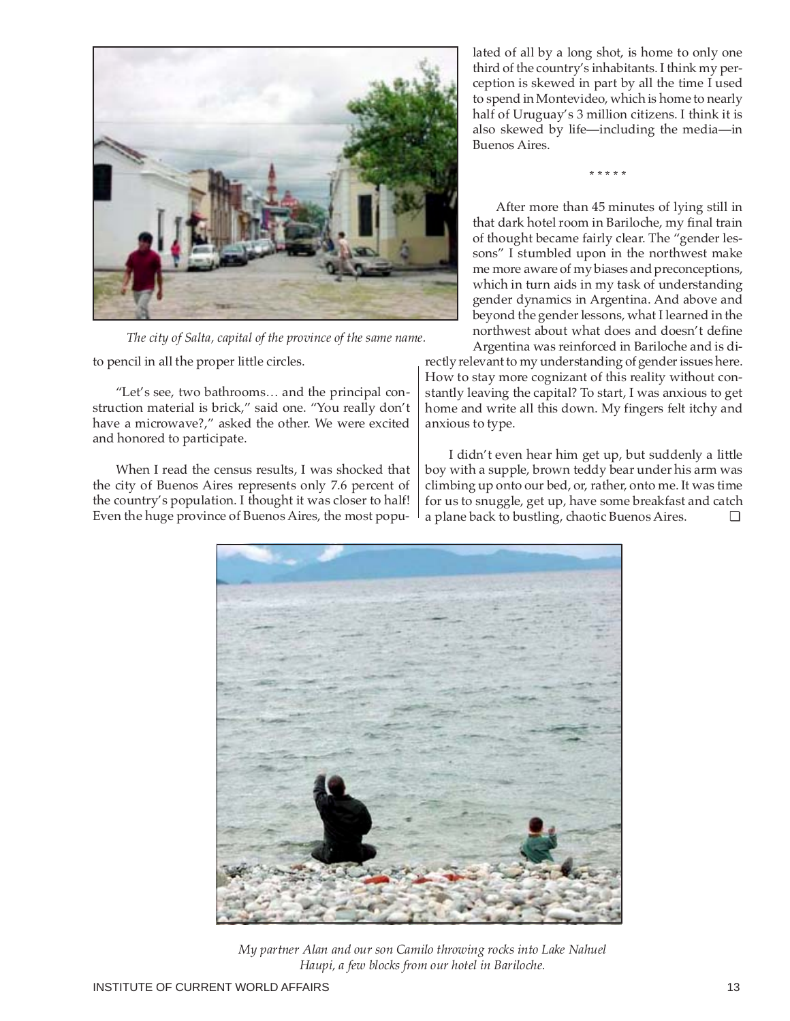

*The city of Salta, capital of the province of the same name.*

to pencil in all the proper little circles.

"Let's see, two bathrooms… and the principal construction material is brick," said one. "You really don't have a microwave?," asked the other. We were excited and honored to participate.

When I read the census results, I was shocked that the city of Buenos Aires represents only 7.6 percent of the country's population. I thought it was closer to half! Even the huge province of Buenos Aires, the most populated of all by a long shot, is home to only one third of the country's inhabitants. I think my perception is skewed in part by all the time I used to spend in Montevideo, which is home to nearly half of Uruguay's 3 million citizens. I think it is also skewed by life—including the media—in Buenos Aires.

\* \* \* \* \*

After more than 45 minutes of lying still in that dark hotel room in Bariloche, my final train of thought became fairly clear. The "gender lessons" I stumbled upon in the northwest make me more aware of my biases and preconceptions, which in turn aids in my task of understanding gender dynamics in Argentina. And above and beyond the gender lessons, what I learned in the northwest about what does and doesn't define Argentina was reinforced in Bariloche and is di-

rectly relevant to my understanding of gender issues here. How to stay more cognizant of this reality without constantly leaving the capital? To start, I was anxious to get home and write all this down. My fingers felt itchy and anxious to type.

I didn't even hear him get up, but suddenly a little boy with a supple, brown teddy bear under his arm was climbing up onto our bed, or, rather, onto me. It was time for us to snuggle, get up, have some breakfast and catch a plane back to bustling, chaotic Buenos Aires.



*My partner Alan and our son Camilo throwing rocks into Lake Nahuel Haupi, a few blocks from our hotel in Bariloche.*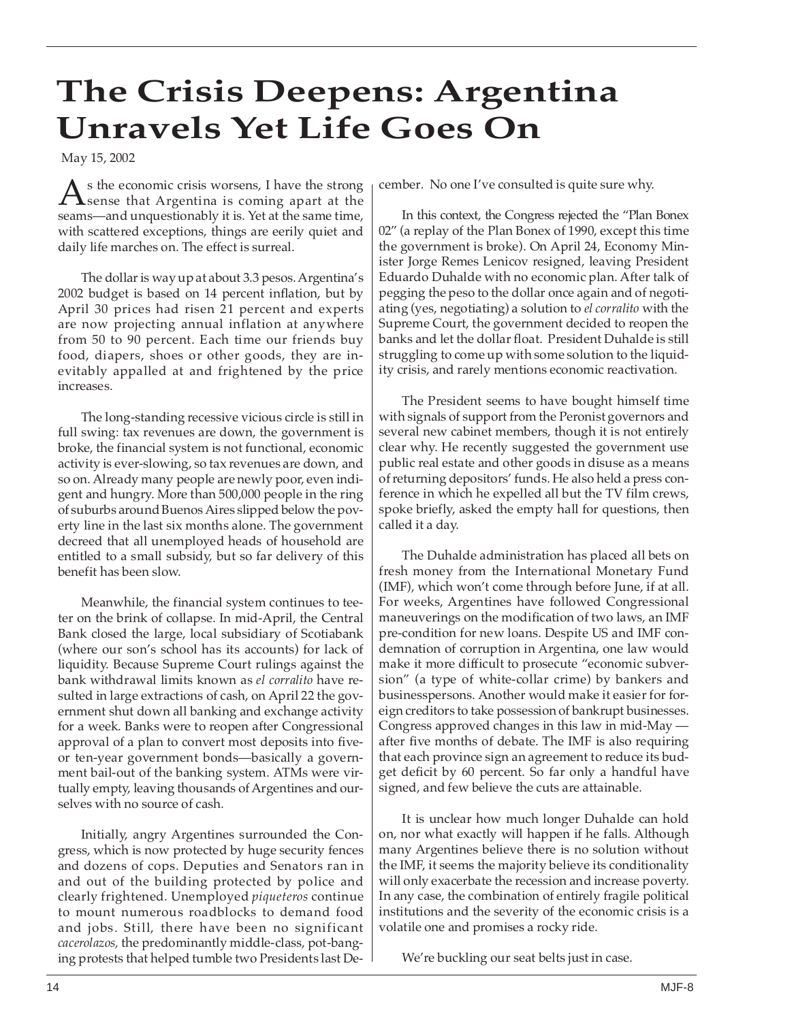# **The Crisis Deepens: Argentina Unravels Yet Life Goes On**

May 15, 2002

 $\mathbf{A}$ s the economic crisis worsens, I have the strong<br>sense that Argentina is coming apart at the seams—and unquestionably it is. Yet at the same time, with scattered exceptions, things are eerily quiet and daily life marches on. The effect is surreal.

The dollar is way up at about 3.3 pesos. Argentina's 2002 budget is based on 14 percent inflation, but by April 30 prices had risen 21 percent and experts are now projecting annual inflation at anywhere from 50 to 90 percent. Each time our friends buy food, diapers, shoes or other goods, they are inevitably appalled at and frightened by the price increases.

The long-standing recessive vicious circle is still in full swing: tax revenues are down, the government is broke, the financial system is not functional, economic activity is ever-slowing, so tax revenues are down, and so on. Already many people are newly poor, even indigent and hungry. More than 500,000 people in the ring of suburbs around Buenos Aires slipped below the poverty line in the last six months alone. The government decreed that all unemployed heads of household are entitled to a small subsidy, but so far delivery of this benefit has been slow.

Meanwhile, the financial system continues to teeter on the brink of collapse. In mid-April, the Central Bank closed the large, local subsidiary of Scotiabank (where our son's school has its accounts) for lack of liquidity. Because Supreme Court rulings against the bank withdrawal limits known as *el corralito* have resulted in large extractions of cash, on April 22 the government shut down all banking and exchange activity for a week. Banks were to reopen after Congressional approval of a plan to convert most deposits into fiveor ten-year government bonds—basically a government bail-out of the banking system. ATMs were virtually empty, leaving thousands of Argentines and ourselves with no source of cash.

Initially, angry Argentines surrounded the Congress, which is now protected by huge security fences and dozens of cops. Deputies and Senators ran in and out of the building protected by police and clearly frightened. Unemployed *piqueteros* continue to mount numerous roadblocks to demand food and jobs. Still, there have been no significant *cacerolazos,* the predominantly middle-class, pot-banging protests that helped tumble two Presidents last December*.* No one I've consulted is quite sure why.

In this context, the Congress rejected the "Plan Bonex 02" (a replay of the Plan Bonex of 1990, except this time the government is broke). On April 24, Economy Minister Jorge Remes Lenicov resigned, leaving President Eduardo Duhalde with no economic plan. After talk of pegging the peso to the dollar once again and of negotiating (yes, negotiating) a solution to *el corralito* with the Supreme Court, the government decided to reopen the banks and let the dollar float. President Duhalde is still struggling to come up with some solution to the liquidity crisis, and rarely mentions economic reactivation.

The President seems to have bought himself time with signals of support from the Peronist governors and several new cabinet members, though it is not entirely clear why. He recently suggested the government use public real estate and other goods in disuse as a means of returning depositors' funds. He also held a press conference in which he expelled all but the TV film crews, spoke briefly, asked the empty hall for questions, then called it a day.

The Duhalde administration has placed all bets on fresh money from the International Monetary Fund (IMF), which won't come through before June, if at all. For weeks, Argentines have followed Congressional maneuverings on the modification of two laws, an IMF pre-condition for new loans. Despite US and IMF condemnation of corruption in Argentina, one law would make it more difficult to prosecute "economic subversion" (a type of white-collar crime) by bankers and businesspersons. Another would make it easier for foreign creditors to take possession of bankrupt businesses. Congress approved changes in this law in mid-May after five months of debate. The IMF is also requiring that each province sign an agreement to reduce its budget deficit by 60 percent. So far only a handful have signed, and few believe the cuts are attainable.

It is unclear how much longer Duhalde can hold on, nor what exactly will happen if he falls. Although many Argentines believe there is no solution without the IMF, it seems the majority believe its conditionality will only exacerbate the recession and increase poverty. In any case, the combination of entirely fragile political institutions and the severity of the economic crisis is a volatile one and promises a rocky ride.

We're buckling our seat belts just in case.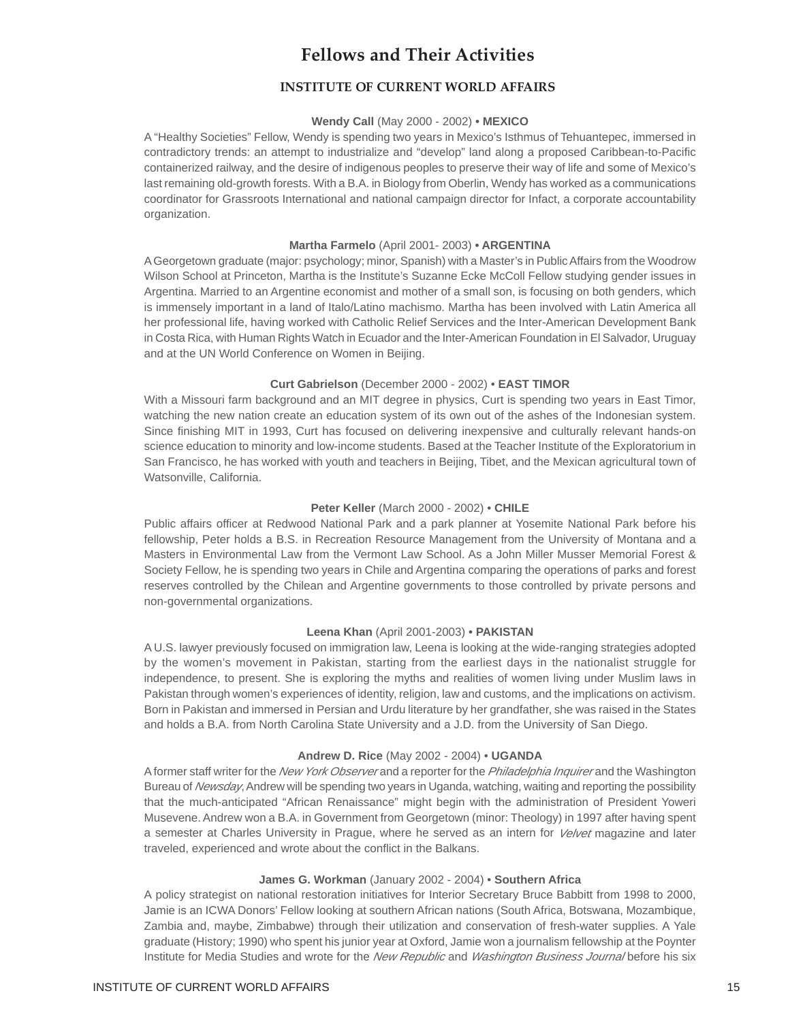# **Fellows and Their Activities**

# **INSTITUTE OF CURRENT WORLD AFFAIRS**

## **Wendy Call** (May 2000 - 2002) **• MEXICO**

A "Healthy Societies" Fellow, Wendy is spending two years in Mexico's Isthmus of Tehuantepec, immersed in contradictory trends: an attempt to industrialize and "develop" land along a proposed Caribbean-to-Pacific containerized railway, and the desire of indigenous peoples to preserve their way of life and some of Mexico's last remaining old-growth forests. With a B.A. in Biology from Oberlin, Wendy has worked as a communications coordinator for Grassroots International and national campaign director for Infact, a corporate accountability organization.

## **Martha Farmelo** (April 2001- 2003) **• ARGENTINA**

A Georgetown graduate (major: psychology; minor, Spanish) with a Master's in Public Affairs from the Woodrow Wilson School at Princeton, Martha is the Institute's Suzanne Ecke McColl Fellow studying gender issues in Argentina. Married to an Argentine economist and mother of a small son, is focusing on both genders, which is immensely important in a land of Italo/Latino machismo. Martha has been involved with Latin America all her professional life, having worked with Catholic Relief Services and the Inter-American Development Bank in Costa Rica, with Human Rights Watch in Ecuador and the Inter-American Foundation in El Salvador, Uruguay and at the UN World Conference on Women in Beijing.

## **Curt Gabrielson** (December 2000 - 2002) • **EAST TIMOR**

With a Missouri farm background and an MIT degree in physics, Curt is spending two years in East Timor, watching the new nation create an education system of its own out of the ashes of the Indonesian system. Since finishing MIT in 1993, Curt has focused on delivering inexpensive and culturally relevant hands-on science education to minority and low-income students. Based at the Teacher Institute of the Exploratorium in San Francisco, he has worked with youth and teachers in Beijing, Tibet, and the Mexican agricultural town of Watsonville, California.

### **Peter Keller** (March 2000 - 2002) • **CHILE**

Public affairs officer at Redwood National Park and a park planner at Yosemite National Park before his fellowship, Peter holds a B.S. in Recreation Resource Management from the University of Montana and a Masters in Environmental Law from the Vermont Law School. As a John Miller Musser Memorial Forest & Society Fellow, he is spending two years in Chile and Argentina comparing the operations of parks and forest reserves controlled by the Chilean and Argentine governments to those controlled by private persons and non-governmental organizations.

#### **Leena Khan** (April 2001-2003) **• PAKISTAN**

A U.S. lawyer previously focused on immigration law, Leena is looking at the wide-ranging strategies adopted by the women's movement in Pakistan, starting from the earliest days in the nationalist struggle for independence, to present. She is exploring the myths and realities of women living under Muslim laws in Pakistan through women's experiences of identity, religion, law and customs, and the implications on activism. Born in Pakistan and immersed in Persian and Urdu literature by her grandfather, she was raised in the States and holds a B.A. from North Carolina State University and a J.D. from the University of San Diego.

#### **Andrew D. Rice** (May 2002 - 2004) • **UGANDA**

A former staff writer for the New York Observer and a reporter for the Philadelphia Inquirer and the Washington Bureau of Newsday, Andrew will be spending two years in Uganda, watching, waiting and reporting the possibility that the much-anticipated "African Renaissance" might begin with the administration of President Yoweri Musevene. Andrew won a B.A. in Government from Georgetown (minor: Theology) in 1997 after having spent a semester at Charles University in Prague, where he served as an intern for *Velvet* magazine and later traveled, experienced and wrote about the conflict in the Balkans.

#### **James G. Workman** (January 2002 - 2004) • **Southern Africa**

A policy strategist on national restoration initiatives for Interior Secretary Bruce Babbitt from 1998 to 2000, Jamie is an ICWA Donors' Fellow looking at southern African nations (South Africa, Botswana, Mozambique, Zambia and, maybe, Zimbabwe) through their utilization and conservation of fresh-water supplies. A Yale graduate (History; 1990) who spent his junior year at Oxford, Jamie won a journalism fellowship at the Poynter Institute for Media Studies and wrote for the New Republic and Washington Business Journal before his six